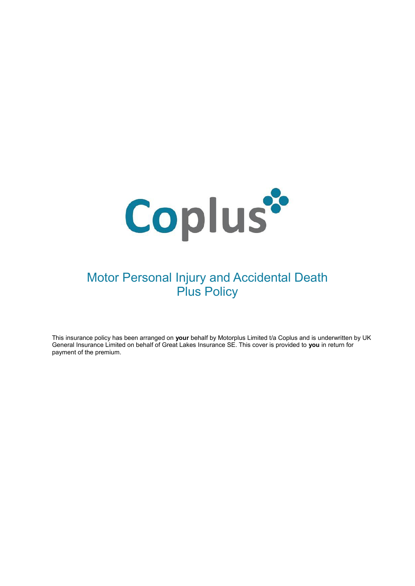

# Motor Personal Injury and Accidental Death Plus Policy

This insurance policy has been arranged on **your** behalf by Motorplus Limited t/a Coplus and is underwritten by UK General Insurance Limited on behalf of Great Lakes Insurance SE. This cover is provided to **you** in return for payment of the premium.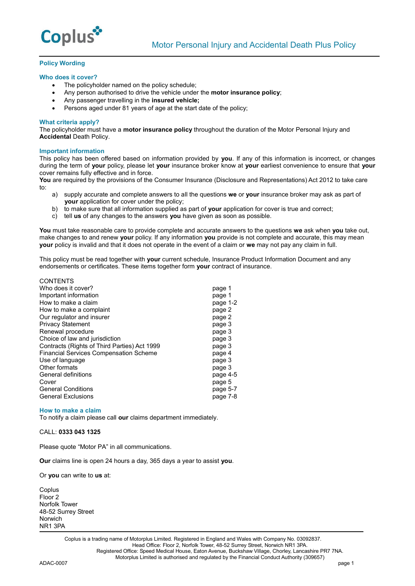

# **Policy Wording**

## **Who does it cover?**

- The policyholder named on the policy schedule;
- Any person authorised to drive the vehicle under the **motor insurance policy**;
- Any passenger travelling in the **insured vehicle;**
- Persons aged under 81 years of age at the start date of the policy:

## **What criteria apply?**

The policyholder must have a **motor insurance policy** throughout the duration of the Motor Personal Injury and **Accidental** Death Policy.

## **Important information**

This policy has been offered based on information provided by **you**. If any of this information is incorrect, or changes during the term of **your** policy, please let **your** insurance broker know at **your** earliest convenience to ensure that **your** cover remains fully effective and in force.

**You** are required by the provisions of the Consumer Insurance (Disclosure and Representations) Act 2012 to take care to:

- a) supply accurate and complete answers to all the questions **we** or **your** insurance broker may ask as part of **your** application for cover under the policy;
- b) to make sure that all information supplied as part of **your** application for cover is true and correct;
- c) tell **us** of any changes to the answers **you** have given as soon as possible.

**You** must take reasonable care to provide complete and accurate answers to the questions **we** ask when **you** take out, make changes to and renew **your** policy. If any information **you** provide is not complete and accurate, this may mean **your** policy is invalid and that it does not operate in the event of a claim or **we** may not pay any claim in full.

This policy must be read together with **your** current schedule, Insurance Product Information Document and any endorsements or certificates. These items together form **your** contract of insurance.

| <b>CONTENTS</b>                               |          |
|-----------------------------------------------|----------|
| Who does it cover?                            | page 1   |
| Important information                         | page 1   |
| How to make a claim                           | page 1-2 |
| How to make a complaint                       | page 2   |
| Our regulator and insurer                     | page 2   |
| <b>Privacy Statement</b>                      | page 3   |
| Renewal procedure                             | page 3   |
| Choice of law and jurisdiction                | page 3   |
| Contracts (Rights of Third Parties) Act 1999  | page 3   |
| <b>Financial Services Compensation Scheme</b> | page 4   |
| Use of language                               | page 3   |
| Other formats                                 | page 3   |
| General definitions                           | page 4-5 |
| Cover                                         | page 5   |
| <b>General Conditions</b>                     | page 5-7 |
| <b>General Exclusions</b>                     | page 7-8 |
|                                               |          |

#### **How to make a claim**

To notify a claim please call **our** claims department immediately.

# CALL: **0333 043 1325**

Please quote "Motor PA" in all communications.

**Our** claims line is open 24 hours a day, 365 days a year to assist **you**.

Or **you** can write to **us** at:

**Coplus** Floor 2 Norfolk Tower 48-52 Surrey Street Norwich NR1 3PA

> Coplus is a trading name of Motorplus Limited. Registered in England and Wales with Company No. 03092837. Head Office: Floor 2, Norfolk Tower, 48-52 Surrey Street, Norwich NR1 3PA. Registered Office: Speed Medical House, Eaton Avenue, Buckshaw Village, Chorley, Lancashire PR7 7NA. Motorplus Limited is authorised and regulated by the Financial Conduct Authority (309657)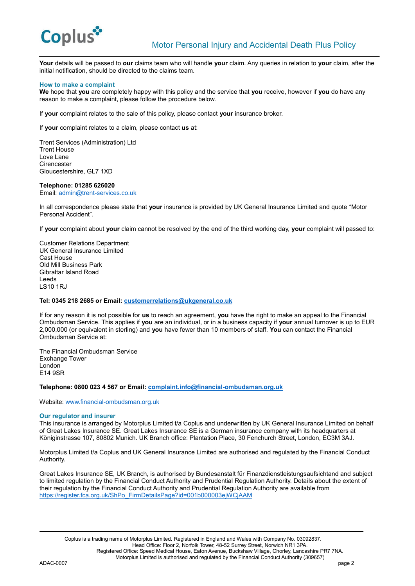

**Your** details will be passed to **our** claims team who will handle **your** claim. Any queries in relation to **your** claim, after the initial notification, should be directed to the claims team.

## **How to make a complaint**

**We** hope that **you** are completely happy with this policy and the service that **you** receive, however if **you** do have any reason to make a complaint, please follow the procedure below.

If **your** complaint relates to the sale of this policy, please contact **your** insurance broker.

If **your** complaint relates to a claim, please contact **us** at:

Trent Services (Administration) Ltd Trent House Love Lane **Cirencester** Gloucestershire, GL7 1XD

#### **Telephone: 01285 626020**

Email: [admin@trent-services.co.uk](mailto:admin@trent-services.co.uk)

In all correspondence please state that **your** insurance is provided by UK General Insurance Limited and quote "Motor Personal Accident".

If **your** complaint about **your** claim cannot be resolved by the end of the third working day, **your** complaint will passed to:

Customer Relations Department UK General Insurance Limited Cast House Old Mill Business Park Gibraltar Island Road Leeds LS10 1RJ

# **Tel: 0345 218 2685 or Email: [customerrelations@ukgeneral.co.uk](mailto:customerrelations@ukgeneral.co.uk)**

If for any reason it is not possible for **us** to reach an agreement, **you** have the right to make an appeal to the Financial Ombudsman Service. This applies if **you** are an individual, or in a business capacity if **your** annual turnover is up to EUR 2,000,000 (or equivalent in sterling) and **you** have fewer than 10 members of staff. **You** can contact the Financial Ombudsman Service at:

The Financial Ombudsman Service Exchange Tower London E14 9SR

**Telephone: 0800 023 4 567 or Email: [complaint.info@financial-ombudsman.org.uk](mailto:complaint.info@financial-ombudsman.org.uk)** 

Website: [www.financial-ombudsman.org.uk](http://www.financial-ombudsman.org.uk/)

#### **Our regulator and insurer**

This insurance is arranged by Motorplus Limited t/a Coplus and underwritten by UK General Insurance Limited on behalf of Great Lakes Insurance SE. Great Lakes Insurance SE is a German insurance company with its headquarters at Königinstrasse 107, 80802 Munich. UK Branch office: Plantation Place, 30 Fenchurch Street, London, EC3M 3AJ.

Motorplus Limited t/a Coplus and UK General Insurance Limited are authorised and regulated by the Financial Conduct Authority.

Great Lakes Insurance SE, UK Branch, is authorised by Bundesanstalt für Finanzdienstleistungsaufsichtand and subject to limited regulation by the Financial Conduct Authority and Prudential Regulation Authority. Details about the extent of their regulation by the Financial Conduct Authority and Prudential Regulation Authority are available from [https://register.fca.org.uk/ShPo\\_FirmDetailsPage?id=001b000003ejWCjAAM](https://register.fca.org.uk/ShPo_FirmDetailsPage?id=001b000003ejWCjAAM)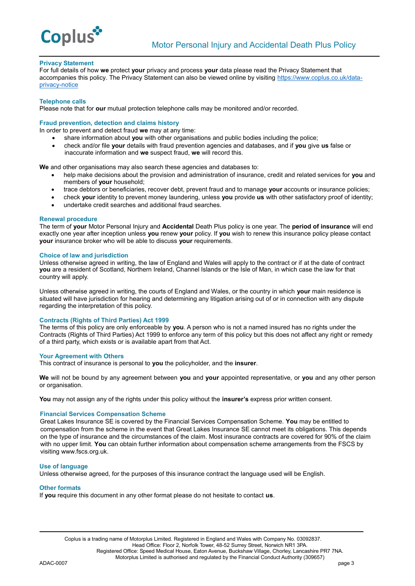

## **Privacy Statement**

For full details of how **we** protect **your** privacy and process **your** data please read the Privacy Statement that accompanies this policy. The Privacy Statement can also be viewed online by visiting [https://www.coplus.co.uk/data](https://www.coplus.co.uk/data-privacy-notice/)[privacy-notice](https://www.coplus.co.uk/data-privacy-notice/)

## **Telephone calls**

Please note that for **our** mutual protection telephone calls may be monitored and/or recorded.

## **Fraud prevention, detection and claims history**

In order to prevent and detect fraud **we** may at any time:

- share information about **you** with other organisations and public bodies including the police;
- check and/or file **your** details with fraud prevention agencies and databases, and if **you** give **us** false or inaccurate information and **we** suspect fraud, **we** will record this.

**We** and other organisations may also search these agencies and databases to:

- help make decisions about the provision and administration of insurance, credit and related services for **you** and members of **your** household;
- trace debtors or beneficiaries, recover debt, prevent fraud and to manage **your** accounts or insurance policies;
- check **your** identity to prevent money laundering, unless **you** provide **us** with other satisfactory proof of identity;
- undertake credit searches and additional fraud searches.

## **Renewal procedure**

The term of **your** Motor Personal Injury and **Accidental** Death Plus policy is one year. The **period of insurance** will end exactly one year after inception unless **you** renew **your** policy. If **you** wish to renew this insurance policy please contact **your** insurance broker who will be able to discuss **your** requirements.

## **Choice of law and jurisdiction**

Unless otherwise agreed in writing, the law of England and Wales will apply to the contract or if at the date of contract **you** are a resident of Scotland, Northern Ireland, Channel Islands or the Isle of Man, in which case the law for that country will apply.

Unless otherwise agreed in writing, the courts of England and Wales, or the country in which **your** main residence is situated will have jurisdiction for hearing and determining any litigation arising out of or in connection with any dispute regarding the interpretation of this policy.

## **Contracts (Rights of Third Parties) Act 1999**

The terms of this policy are only enforceable by **you**. A person who is not a named insured has no rights under the Contracts (Rights of Third Parties) Act 1999 to enforce any term of this policy but this does not affect any right or remedy of a third party, which exists or is available apart from that Act.

#### **Your Agreement with Others**

This contract of insurance is personal to **you** the policyholder, and the **insurer**.

**We** will not be bound by any agreement between **you** and **your** appointed representative, or **you** and any other person or organisation.

**You** may not assign any of the rights under this policy without the **insurer's** express prior written consent.

# **Financial Services Compensation Scheme**

Great Lakes Insurance SE is covered by the Financial Services Compensation Scheme. **You** may be entitled to compensation from the scheme in the event that Great Lakes Insurance SE cannot meet its obligations. This depends on the type of insurance and the circumstances of the claim. Most insurance contracts are covered for 90% of the claim with no upper limit. **You** can obtain further information about compensation scheme arrangements from the FSCS by visiting www.fscs.org.uk.

## **Use of language**

Unless otherwise agreed, for the purposes of this insurance contract the language used will be English.

#### **Other formats**

If **you** require this document in any other format please do not hesitate to contact **us**.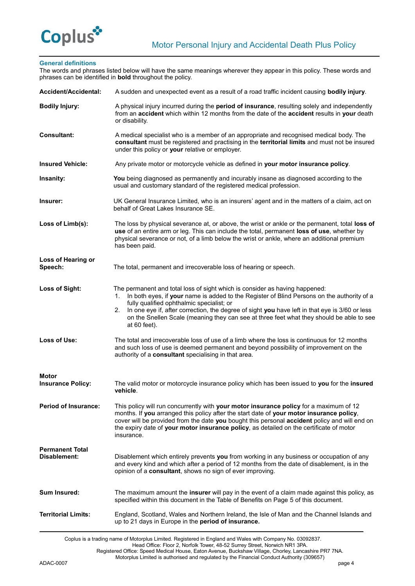

# **General definitions**

The words and phrases listed below will have the same meanings wherever they appear in this policy. These words and phrases can be identified in **bold** throughout the policy.

| Accident/Accidental:                   | A sudden and unexpected event as a result of a road traffic incident causing <b>bodily injury</b> .                                                                                                                                                                                                                                                                                                                                              |
|----------------------------------------|--------------------------------------------------------------------------------------------------------------------------------------------------------------------------------------------------------------------------------------------------------------------------------------------------------------------------------------------------------------------------------------------------------------------------------------------------|
| <b>Bodily Injury:</b>                  | A physical injury incurred during the period of insurance, resulting solely and independently<br>from an accident which within 12 months from the date of the accident results in your death<br>or disability.                                                                                                                                                                                                                                   |
| <b>Consultant:</b>                     | A medical specialist who is a member of an appropriate and recognised medical body. The<br>consultant must be registered and practising in the territorial limits and must not be insured<br>under this policy or your relative or employer.                                                                                                                                                                                                     |
| <b>Insured Vehicle:</b>                | Any private motor or motorcycle vehicle as defined in your motor insurance policy.                                                                                                                                                                                                                                                                                                                                                               |
| Insanity:                              | You being diagnosed as permanently and incurably insane as diagnosed according to the<br>usual and customary standard of the registered medical profession.                                                                                                                                                                                                                                                                                      |
| Insurer:                               | UK General Insurance Limited, who is an insurers' agent and in the matters of a claim, act on<br>behalf of Great Lakes Insurance SE.                                                                                                                                                                                                                                                                                                             |
| Loss of Limb(s):                       | The loss by physical severance at, or above, the wrist or ankle or the permanent, total loss of<br>use of an entire arm or leg. This can include the total, permanent loss of use, whether by<br>physical severance or not, of a limb below the wrist or ankle, where an additional premium<br>has been paid.                                                                                                                                    |
| Loss of Hearing or<br>Speech:          | The total, permanent and irrecoverable loss of hearing or speech.                                                                                                                                                                                                                                                                                                                                                                                |
| <b>Loss of Sight:</b>                  | The permanent and total loss of sight which is consider as having happened:<br>In both eyes, if your name is added to the Register of Blind Persons on the authority of a<br>1.<br>fully qualified ophthalmic specialist; or<br>In one eye if, after correction, the degree of sight you have left in that eye is 3/60 or less<br>2.<br>on the Snellen Scale (meaning they can see at three feet what they should be able to see<br>at 60 feet). |
| Loss of Use:                           | The total and irrecoverable loss of use of a limb where the loss is continuous for 12 months<br>and such loss of use is deemed permanent and beyond possibility of improvement on the<br>authority of a consultant specialising in that area.                                                                                                                                                                                                    |
| Motor<br><b>Insurance Policy:</b>      | The valid motor or motorcycle insurance policy which has been issued to you for the insured<br>vehicle.                                                                                                                                                                                                                                                                                                                                          |
| <b>Period of Insurance:</b>            | This policy will run concurrently with your motor insurance policy for a maximum of 12<br>months. If you arranged this policy after the start date of your motor insurance policy,<br>cover will be provided from the date you bought this personal accident policy and will end on<br>the expiry date of your motor insurance policy, as detailed on the certificate of motor<br>insurance.                                                     |
| <b>Permanent Total</b><br>Disablement: | Disablement which entirely prevents you from working in any business or occupation of any<br>and every kind and which after a period of 12 months from the date of disablement, is in the<br>opinion of a <b>consultant</b> , shows no sign of ever improving.                                                                                                                                                                                   |
| <b>Sum Insured:</b>                    | The maximum amount the insurer will pay in the event of a claim made against this policy, as<br>specified within this document in the Table of Benefits on Page 5 of this document.                                                                                                                                                                                                                                                              |
| <b>Territorial Limits:</b>             | England, Scotland, Wales and Northern Ireland, the Isle of Man and the Channel Islands and<br>up to 21 days in Europe in the period of insurance.                                                                                                                                                                                                                                                                                                |
|                                        |                                                                                                                                                                                                                                                                                                                                                                                                                                                  |

Coplus is a trading name of Motorplus Limited. Registered in England and Wales with Company No. 03092837.

Head Office: Floor 2, Norfolk Tower, 48-52 Surrey Street, Norwich NR1 3PA.

Registered Office: Speed Medical House, Eaton Avenue, Buckshaw Village, Chorley, Lancashire PR7 7NA. Motorplus Limited is authorised and regulated by the Financial Conduct Authority (309657)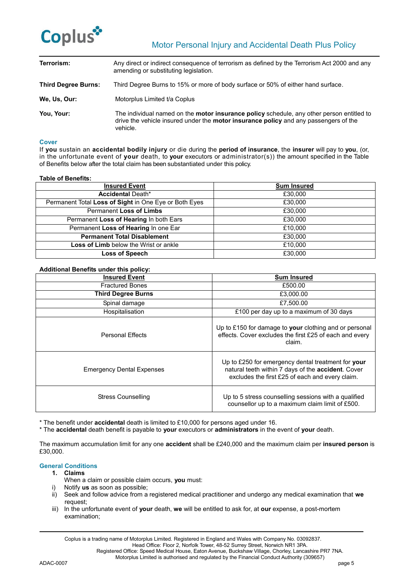

| Terrorism:                 | Any direct or indirect consequence of terrorism as defined by the Terrorism Act 2000 and any<br>amending or substituting legislation.                                                                       |
|----------------------------|-------------------------------------------------------------------------------------------------------------------------------------------------------------------------------------------------------------|
| <b>Third Degree Burns:</b> | Third Degree Burns to 15% or more of body surface or 50% of either hand surface.                                                                                                                            |
| We, Us, Our:               | Motorplus Limited t/a Coplus                                                                                                                                                                                |
| You, Your:                 | The individual named on the <b>motor insurance policy</b> schedule, any other person entitled to<br>drive the vehicle insured under the <b>motor insurance policy</b> and any passengers of the<br>vehicle. |

## **Cover**

If **you** sustain an **accidental bodily injury** or die during the **period of insurance**, the **insurer** will pay to **you**, (or, in the unfortunate event of **your** death, to **your** executors or administrator(s)) the amount specified in the Table of Benefits below after the total claim has been substantiated under this policy.

## **Table of Benefits:**

| <b>Insured Event</b>                                  | <b>Sum Insured</b> |
|-------------------------------------------------------|--------------------|
| <b>Accidental Death*</b>                              | £30,000            |
| Permanent Total Loss of Sight in One Eye or Both Eyes | £30,000            |
| Permanent Loss of Limbs                               | £30,000            |
| Permanent Loss of Hearing In both Ears                | £30,000            |
| Permanent Loss of Hearing In one Ear                  | £10.000            |
| <b>Permanent Total Disablement</b>                    | £30,000            |
| <b>Loss of Limb</b> below the Wrist or ankle          | £10.000            |
| Loss of Speech                                        | £30,000            |

# **Additional Benefits under this policy:**

| <b>Insured Event</b>             | <b>Sum Insured</b>                                                                                                                                          |
|----------------------------------|-------------------------------------------------------------------------------------------------------------------------------------------------------------|
| <b>Fractured Bones</b>           | £500.00                                                                                                                                                     |
| <b>Third Degree Burns</b>        | £3,000.00                                                                                                                                                   |
| Spinal damage                    | £7,500.00                                                                                                                                                   |
| Hospitalisation                  | £100 per day up to a maximum of 30 days                                                                                                                     |
| <b>Personal Effects</b>          | Up to £150 for damage to your clothing and or personal<br>effects. Cover excludes the first £25 of each and every<br>claim.                                 |
| <b>Emergency Dental Expenses</b> | Up to £250 for emergency dental treatment for your<br>natural teeth within 7 days of the accident. Cover<br>excludes the first £25 of each and every claim. |
| <b>Stress Counselling</b>        | Up to 5 stress counselling sessions with a qualified<br>counsellor up to a maximum claim limit of £500.                                                     |

\* The benefit under **accidental** death is limited to £10,000 for persons aged under 16.

\* The **accidental** death benefit is payable to **your** executors or **administrators** in the event of **your** death.

The maximum accumulation limit for any one **accident** shall be £240,000 and the maximum claim per **insured person** is £30,000.

## **General Conditions**

# **1. Claims**

- When a claim or possible claim occurs, **you** must:
- i) Notify **us** as soon as possible;
- ii) Seek and follow advice from a registered medical practitioner and undergo any medical examination that **we**  request;
- iii) In the unfortunate event of **your** death, **we** will be entitled to ask for, at **our** expense, a post-mortem examination;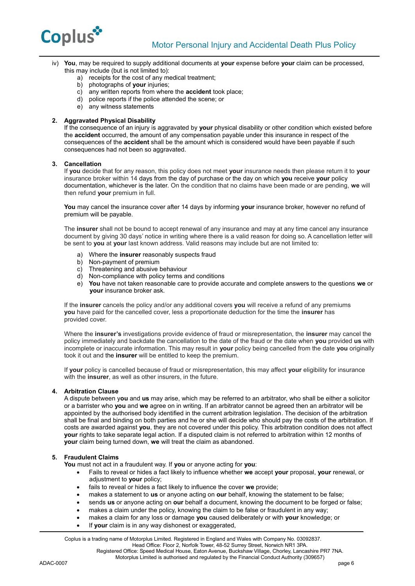

- iv) **You**, may be required to supply additional documents at **your** expense before **your** claim can be processed, this may include (but is not limited to):
	- a) receipts for the cost of any medical treatment;
	- b) photographs of **your** injuries;
	- c) any written reports from where the **accident** took place;
	- d) police reports if the police attended the scene; or
	- e) any witness statements

# **2. Aggravated Physical Disability**

If the consequence of an injury is aggravated by **your** physical disability or other condition which existed before the **accident** occurred, the amount of any compensation payable under this insurance in respect of the consequences of the **accident** shall be the amount which is considered would have been payable if such consequences had not been so aggravated.

# **3. Cancellation**

If **you** decide that for any reason, this policy does not meet **your** insurance needs then please return it to **your**  insurance broker within 14 days from the day of purchase or the day on which **you** receive **your** policy documentation, whichever is the later. On the condition that no claims have been made or are pending, **we** will then refund **your** premium in full.

**You** may cancel the insurance cover after 14 days by informing **your** insurance broker, however no refund of premium will be payable.

The **insurer** shall not be bound to accept renewal of any insurance and may at any time cancel any insurance document by giving 30 days' notice in writing where there is a valid reason for doing so. A cancellation letter will be sent to **you** at **your** last known address. Valid reasons may include but are not limited to:

- a) Where the **insurer** reasonably suspects fraud
- b) Non-payment of premium
- c) Threatening and abusive behaviour
- d) Non-compliance with policy terms and conditions
- e) **You** have not taken reasonable care to provide accurate and complete answers to the questions **we** or **your** insurance broker ask.

If the **insurer** cancels the policy and/or any additional covers **you** will receive a refund of any premiums **you** have paid for the cancelled cover, less a proportionate deduction for the time the **insurer** has provided cover.

Where the **insurer's** investigations provide evidence of fraud or misrepresentation, the **insurer** may cancel the policy immediately and backdate the cancellation to the date of the fraud or the date when **you** provided **us** with incomplete or inaccurate information. This may result in **your** policy being cancelled from the date **you** originally took it out and the **insurer** will be entitled to keep the premium.

If **your** policy is cancelled because of fraud or misrepresentation, this may affect **your** eligibility for insurance with the **insurer**, as well as other insurers, in the future.

# **4. Arbitration Clause**

A dispute between y**ou** and **us** may arise, which may be referred to an arbitrator, who shall be either a solicitor or a barrister who **you** and **we** agree on in writing. If an arbitrator cannot be agreed then an arbitrator will be appointed by the authorised body identified in the current arbitration legislation. The decision of the arbitration shall be final and binding on both parties and he or she will decide who should pay the costs of the arbitration. If costs are awarded against **you**, they are not covered under this policy. This arbitration condition does not affect **your** rights to take separate legal action. If a disputed claim is not referred to arbitration within 12 months of **your** claim being turned down, **we** will treat the claim as abandoned.

## **5. Fraudulent Claims**

**You** must not act in a fraudulent way. If **you** or anyone acting for **you**:

- Fails to reveal or hides a fact likely to influence whether **we** accept **your** proposal, **your** renewal, or adjustment to **your** policy;
- fails to reveal or hides a fact likely to influence the cover **we** provide;
- makes a statement to **us** or anyone acting on **our** behalf, knowing the statement to be false;
- sends **us** or anyone acting on **our** behalf a document, knowing the document to be forged or false;
- makes a claim under the policy, knowing the claim to be false or fraudulent in any way:
- makes a claim for any loss or damage **you** caused deliberately or with **your** knowledge; or
- If **your** claim is in any way dishonest or exaggerated,

Coplus is a trading name of Motorplus Limited. Registered in England and Wales with Company No. 03092837.

Head Office: Floor 2, Norfolk Tower, 48-52 Surrey Street, Norwich NR1 3PA. Registered Office: Speed Medical House, Eaton Avenue, Buckshaw Village, Chorley, Lancashire PR7 7NA.

Motorplus Limited is authorised and regulated by the Financial Conduct Authority (309657)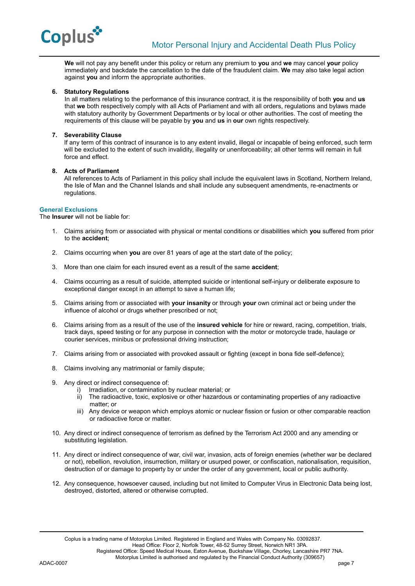

**We** will not pay any benefit under this policy or return any premium to **you** and **we** may cancel **your** policy immediately and backdate the cancellation to the date of the fraudulent claim. **We** may also take legal action against **you** and inform the appropriate authorities.

# **6. Statutory Regulations**

In all matters relating to the performance of this insurance contract, it is the responsibility of both **you** and **us** that **we** both respectively comply with all Acts of Parliament and with all orders, regulations and bylaws made with statutory authority by Government Departments or by local or other authorities. The cost of meeting the requirements of this clause will be payable by **you** and **us** in **our** own rights respectively.

# **7. Severability Clause**

If any term of this contract of insurance is to any extent invalid, illegal or incapable of being enforced, such term will be excluded to the extent of such invalidity, illegality or unenforceability; all other terms will remain in full force and effect.

## **8. Acts of Parliament**

All references to Acts of Parliament in this policy shall include the equivalent laws in Scotland, Northern Ireland, the Isle of Man and the Channel Islands and shall include any subsequent amendments, re-enactments or regulations.

## **General Exclusions**

The **Insurer** will not be liable for:

- 1. Claims arising from or associated with physical or mental conditions or disabilities which **you** suffered from prior to the **accident**;
- 2. Claims occurring when **you** are over 81 years of age at the start date of the policy;
- 3. More than one claim for each insured event as a result of the same **accident**;
- 4. Claims occurring as a result of suicide, attempted suicide or intentional self-injury or deliberate exposure to exceptional danger except in an attempt to save a human life;
- 5. Claims arising from or associated with **your insanity** or through **your** own criminal act or being under the influence of alcohol or drugs whether prescribed or not;
- 6. Claims arising from as a result of the use of the **insured vehicle** for hire or reward, racing, competition, trials, track days, speed testing or for any purpose in connection with the motor or motorcycle trade, haulage or courier services, minibus or professional driving instruction;
- 7. Claims arising from or associated with provoked assault or fighting (except in bona fide self-defence);
- 8. Claims involving any matrimonial or family dispute;
- 9. Any direct or indirect consequence of:
	- i) Irradiation, or contamination by nuclear material; or
	- ii) The radioactive, toxic, explosive or other hazardous or contaminating properties of any radioactive matter; or
	- iii) Any device or weapon which employs atomic or nuclear fission or fusion or other comparable reaction or radioactive force or matter.
- 10. Any direct or indirect consequence of terrorism as defined by the Terrorism Act 2000 and any amending or substituting legislation.
- 11. Any direct or indirect consequence of war, civil war, invasion, acts of foreign enemies (whether war be declared or not), rebellion, revolution, insurrection, military or usurped power, or confiscation, nationalisation, requisition, destruction of or damage to property by or under the order of any government, local or public authority.
- 12. Any consequence, howsoever caused, including but not limited to Computer Virus in Electronic Data being lost, destroyed, distorted, altered or otherwise corrupted.